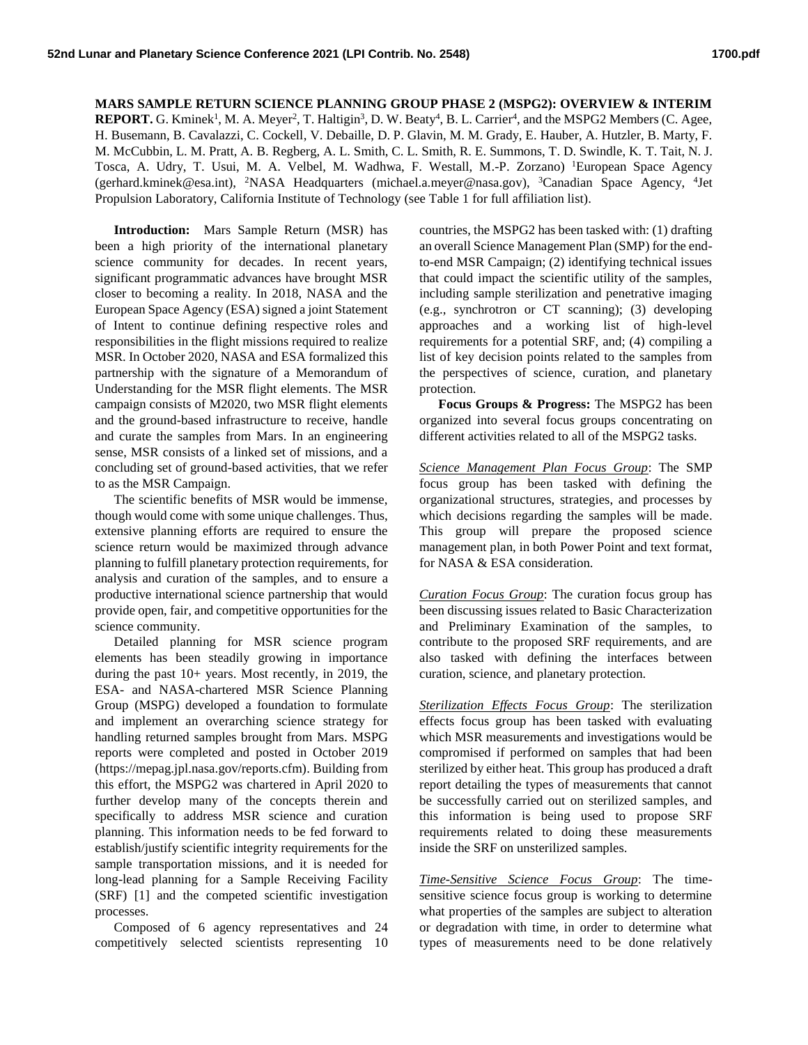## **MARS SAMPLE RETURN SCIENCE PLANNING GROUP PHASE 2 (MSPG2): OVERVIEW & INTERIM**

REPORT. G. Kminek<sup>1</sup>, M. A. Meyer<sup>2</sup>, T. Haltigin<sup>3</sup>, D. W. Beaty<sup>4</sup>, B. L. Carrier<sup>4</sup>, and the MSPG2 Members (C. Agee, H. Busemann, B. Cavalazzi, C. Cockell, V. Debaille, D. P. Glavin, M. M. Grady, E. Hauber, A. Hutzler, B. Marty, F. M. McCubbin, L. M. Pratt, A. B. Regberg, A. L. Smith, C. L. Smith, R. E. Summons, T. D. Swindle, K. T. Tait, N. J. Tosca, A. Udry, T. Usui, M. A. Velbel, M. Wadhwa, F. Westall, M.-P. Zorzano) <sup>1</sup>European Space Agency (gerhard.kminek@esa.int), <sup>2</sup>NASA Headquarters (michael.a.meyer@nasa.gov), <sup>3</sup>Canadian Space Agency, <sup>4</sup> Jet Propulsion Laboratory, California Institute of Technology (see Table 1 for full affiliation list).

**Introduction:** Mars Sample Return (MSR) has been a high priority of the international planetary science community for decades. In recent years, significant programmatic advances have brought MSR closer to becoming a reality. In 2018, NASA and the European Space Agency (ESA) signed a joint Statement of Intent to continue defining respective roles and responsibilities in the flight missions required to realize MSR. In October 2020, NASA and ESA formalized this partnership with the signature of a Memorandum of Understanding for the MSR flight elements. The MSR campaign consists of M2020, two MSR flight elements and the ground-based infrastructure to receive, handle and curate the samples from Mars. In an engineering sense, MSR consists of a linked set of missions, and a concluding set of ground-based activities, that we refer to as the MSR Campaign.

The scientific benefits of MSR would be immense, though would come with some unique challenges. Thus, extensive planning efforts are required to ensure the science return would be maximized through advance planning to fulfill planetary protection requirements, for analysis and curation of the samples, and to ensure a productive international science partnership that would provide open, fair, and competitive opportunities for the science community.

Detailed planning for MSR science program elements has been steadily growing in importance during the past 10+ years. Most recently, in 2019, the ESA- and NASA-chartered MSR Science Planning Group (MSPG) developed a foundation to formulate and implement an overarching science strategy for handling returned samples brought from Mars. MSPG reports were completed and posted in October 2019 (https://mepag.jpl.nasa.gov/reports.cfm). Building from this effort, the MSPG2 was chartered in April 2020 to further develop many of the concepts therein and specifically to address MSR science and curation planning. This information needs to be fed forward to establish/justify scientific integrity requirements for the sample transportation missions, and it is needed for long-lead planning for a Sample Receiving Facility (SRF) [1] and the competed scientific investigation processes.

Composed of 6 agency representatives and 24 competitively selected scientists representing 10 countries, the MSPG2 has been tasked with: (1) drafting an overall Science Management Plan (SMP) for the endto-end MSR Campaign; (2) identifying technical issues that could impact the scientific utility of the samples, including sample sterilization and penetrative imaging (e.g., synchrotron or CT scanning); (3) developing approaches and a working list of high-level requirements for a potential SRF, and; (4) compiling a list of key decision points related to the samples from the perspectives of science, curation, and planetary protection.

**Focus Groups & Progress:** The MSPG2 has been organized into several focus groups concentrating on different activities related to all of the MSPG2 tasks.

*Science Management Plan Focus Group*: The SMP focus group has been tasked with defining the organizational structures, strategies, and processes by which decisions regarding the samples will be made. This group will prepare the proposed science management plan, in both Power Point and text format, for NASA & ESA consideration.

*Curation Focus Group*: The curation focus group has been discussing issues related to Basic Characterization and Preliminary Examination of the samples, to contribute to the proposed SRF requirements, and are also tasked with defining the interfaces between curation, science, and planetary protection.

*Sterilization Effects Focus Group*: The sterilization effects focus group has been tasked with evaluating which MSR measurements and investigations would be compromised if performed on samples that had been sterilized by either heat. This group has produced a draft report detailing the types of measurements that cannot be successfully carried out on sterilized samples, and this information is being used to propose SRF requirements related to doing these measurements inside the SRF on unsterilized samples.

*Time-Sensitive Science Focus Group*: The timesensitive science focus group is working to determine what properties of the samples are subject to alteration or degradation with time, in order to determine what types of measurements need to be done relatively